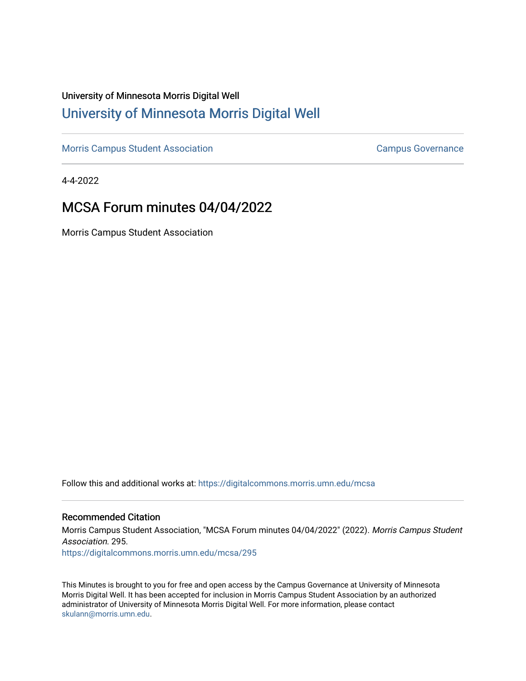# University of Minnesota Morris Digital Well [University of Minnesota Morris Digital Well](https://digitalcommons.morris.umn.edu/)

[Morris Campus Student Association](https://digitalcommons.morris.umn.edu/mcsa) **Campus Governance** Campus Governance

4-4-2022

# MCSA Forum minutes 04/04/2022

Morris Campus Student Association

Follow this and additional works at: [https://digitalcommons.morris.umn.edu/mcsa](https://digitalcommons.morris.umn.edu/mcsa?utm_source=digitalcommons.morris.umn.edu%2Fmcsa%2F295&utm_medium=PDF&utm_campaign=PDFCoverPages) 

#### Recommended Citation

Morris Campus Student Association, "MCSA Forum minutes 04/04/2022" (2022). Morris Campus Student Association. 295.

[https://digitalcommons.morris.umn.edu/mcsa/295](https://digitalcommons.morris.umn.edu/mcsa/295?utm_source=digitalcommons.morris.umn.edu%2Fmcsa%2F295&utm_medium=PDF&utm_campaign=PDFCoverPages) 

This Minutes is brought to you for free and open access by the Campus Governance at University of Minnesota Morris Digital Well. It has been accepted for inclusion in Morris Campus Student Association by an authorized administrator of University of Minnesota Morris Digital Well. For more information, please contact [skulann@morris.umn.edu.](mailto:skulann@morris.umn.edu)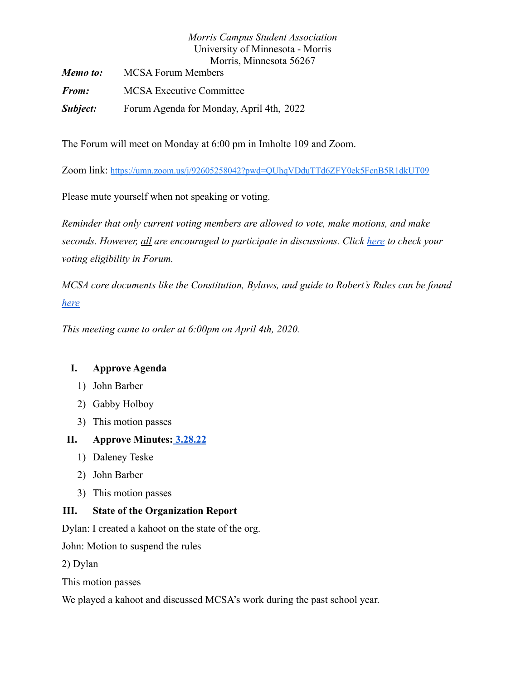|          | Morris Campus Student Association        |
|----------|------------------------------------------|
|          | University of Minnesota - Morris         |
|          | Morris, Minnesota 56267                  |
| Memo to: | <b>MCSA Forum Members</b>                |
| From:    | <b>MCSA Executive Committee</b>          |
| Subject: | Forum Agenda for Monday, April 4th, 2022 |

The Forum will meet on Monday at 6:00 pm in Imholte 109 and Zoom.

Zoom link: <https://umn.zoom.us/j/92605258042?pwd=QUhqVDduTTd6ZFY0ek5FcnB5R1dkUT09>

Please mute yourself when not speaking or voting.

*Reminder that only current voting members are allowed to vote, make motions, and make seconds. However, all are encouraged to participate in discussions. Click [here](https://docs.google.com/spreadsheets/d/1IgORcenzdq47MXSEksu8Kf-kX8Rk_J3VRxbcskqDAks/edit?usp=sharing) to check your voting eligibility in Forum.*

*MCSA core documents like the Constitution, Bylaws, and guide to Robert's Rules can be found [here](https://drive.google.com/drive/folders/1TIMThwj04feIUKbJOUHqFjpxSo5d_3_W?usp=sharing)*

*This meeting came to order at 6:00pm on April 4th, 2020.*

## **I. Approve Agenda**

- 1) John Barber
- 2) Gabby Holboy
- 3) This motion passes

## **II. Approve Minutes: [3.28.22](https://docs.google.com/document/d/1sKDlvLuIfdFSq0Z1dn82o99npHCuSgV9tctfpozbL6c/edit)**

- 1) Daleney Teske
- 2) John Barber
- 3) This motion passes

## **III. State of the Organization Report**

Dylan: I created a kahoot on the state of the org.

John: Motion to suspend the rules

2) Dylan

This motion passes

We played a kahoot and discussed MCSA's work during the past school year.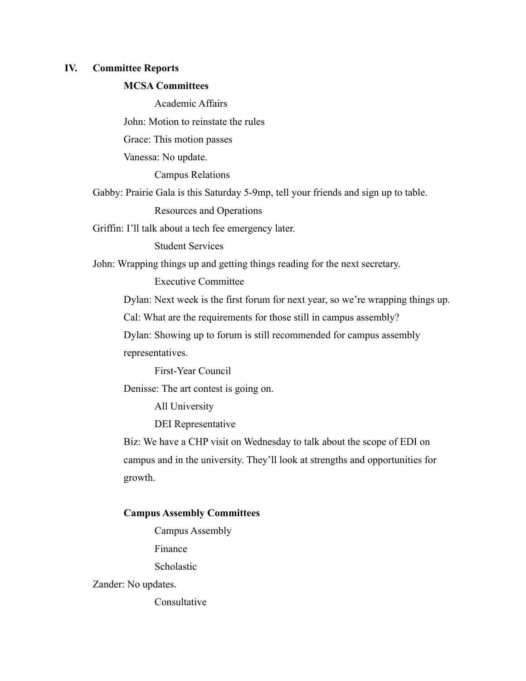#### **IV. Committee Reports**

#### **MCSA Committees**

Academic Affairs

John: Motion to reinstate the rules

Grace: This motion passes

Vanessa: No update.

Campus Relations

Gabby: Prairie Gala is this Saturday 5-9mp, tell your friends and sign up to table.

Resources and Operations

Griffin: I'll talk about a tech fee emergency later.

Student Services

John: Wrapping things up and getting things reading for the next secretary.

Executive Committee

Dylan: Next week is the first forum for next year, so we're wrapping things up.

Cal: What are the requirements for those still in campus assembly?

Dylan: Showing up to forum is still recommended for campus assembly

representatives.

First-Year Council

Denisse: The art contest is going on.

All University

DEI Representative

Biz: We have a CHP visit on Wednesday to talk about the scope of EDI on campus and in the university. They'll look at strengths and opportunities for growth.

#### **Campus Assembly Committees**

Campus Assembly

Finance

Scholastic

Zander: No updates.

**Consultative**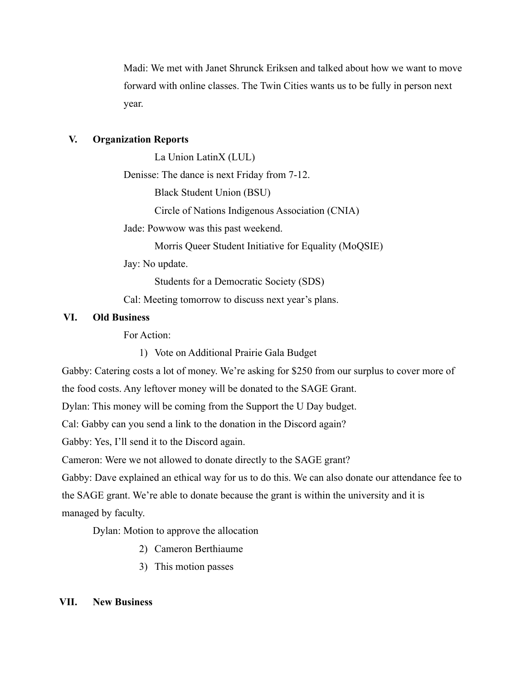Madi: We met with Janet Shrunck Eriksen and talked about how we want to move forward with online classes. The Twin Cities wants us to be fully in person next year.

#### **V. Organization Reports**

La Union LatinX (LUL)

Denisse: The dance is next Friday from 7-12.

Black Student Union (BSU)

Circle of Nations Indigenous Association (CNIA)

Jade: Powwow was this past weekend.

Morris Queer Student Initiative for Equality (MoQSIE)

Jay: No update.

Students for a Democratic Society (SDS)

Cal: Meeting tomorrow to discuss next year's plans.

### **VI. Old Business**

For Action:

1) Vote on Additional Prairie Gala Budget

Gabby: Catering costs a lot of money. We're asking for \$250 from our surplus to cover more of

the food costs. Any leftover money will be donated to the SAGE Grant.

Dylan: This money will be coming from the Support the U Day budget.

Cal: Gabby can you send a link to the donation in the Discord again?

Gabby: Yes, I'll send it to the Discord again.

Cameron: Were we not allowed to donate directly to the SAGE grant?

Gabby: Dave explained an ethical way for us to do this. We can also donate our attendance fee to the SAGE grant. We're able to donate because the grant is within the university and it is managed by faculty.

Dylan: Motion to approve the allocation

- 2) Cameron Berthiaume
- 3) This motion passes

#### **VII. New Business**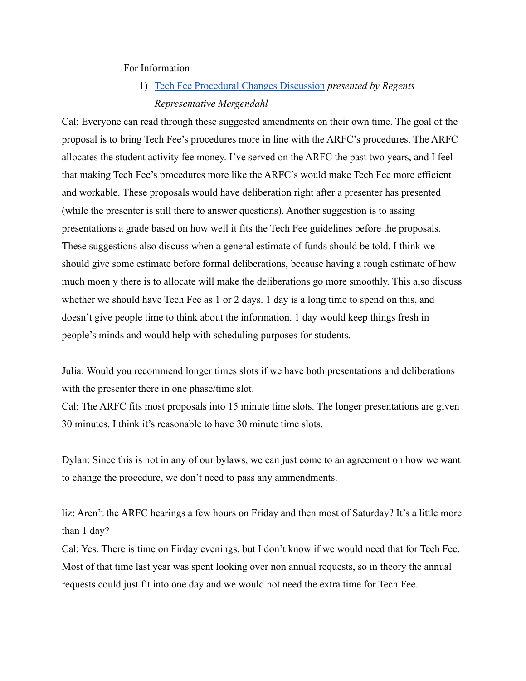#### For Information

1) [Tech Fee Procedural Changes Discussion](https://docs.google.com/document/u/0/d/1JoPMQ_R0TkLzXhqLUZ7C0sgaoAdWQ4WmiRaREYMLmHU/edit) *presented by Regents Representative Mergendahl*

Cal: Everyone can read through these suggested amendments on their own time. The goal of the proposal is to bring Tech Fee's procedures more in line with the ARFC's procedures. The ARFC allocates the student activity fee money. I've served on the ARFC the past two years, and I feel that making Tech Fee's procedures more like the ARFC's would make Tech Fee more efficient and workable. These proposals would have deliberation right after a presenter has presented (while the presenter is still there to answer questions). Another suggestion is to assing presentations a grade based on how well it fits the Tech Fee guidelines before the proposals. These suggestions also discuss when a general estimate of funds should be told. I think we should give some estimate before formal deliberations, because having a rough estimate of how much moen y there is to allocate will make the deliberations go more smoothly. This also discuss whether we should have Tech Fee as 1 or 2 days. 1 day is a long time to spend on this, and doesn't give people time to think about the information. 1 day would keep things fresh in people's minds and would help with scheduling purposes for students.

Julia: Would you recommend longer times slots if we have both presentations and deliberations with the presenter there in one phase/time slot.

Cal: The ARFC fits most proposals into 15 minute time slots. The longer presentations are given 30 minutes. I think it's reasonable to have 30 minute time slots.

Dylan: Since this is not in any of our bylaws, we can just come to an agreement on how we want to change the procedure, we don't need to pass any ammendments.

liz: Aren't the ARFC hearings a few hours on Friday and then most of Saturday? It's a little more than 1 day?

Cal: Yes. There is time on Firday evenings, but I don't know if we would need that for Tech Fee. Most of that time last year was spent looking over non annual requests, so in theory the annual requests could just fit into one day and we would not need the extra time for Tech Fee.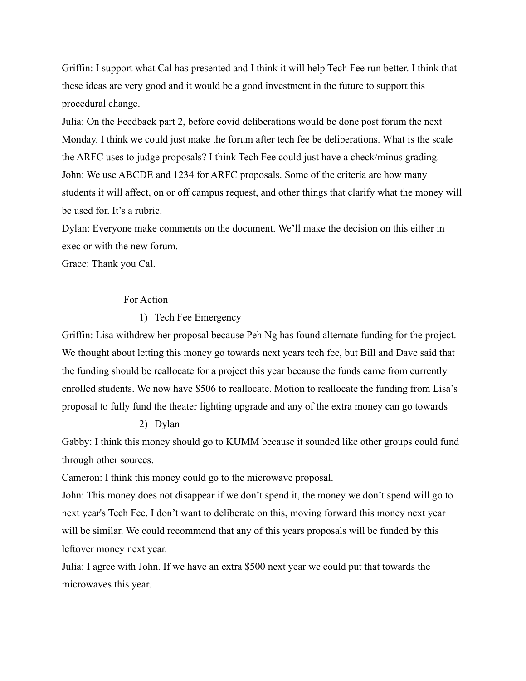Griffin: I support what Cal has presented and I think it will help Tech Fee run better. I think that these ideas are very good and it would be a good investment in the future to support this procedural change.

Julia: On the Feedback part 2, before covid deliberations would be done post forum the next Monday. I think we could just make the forum after tech fee be deliberations. What is the scale the ARFC uses to judge proposals? I think Tech Fee could just have a check/minus grading. John: We use ABCDE and 1234 for ARFC proposals. Some of the criteria are how many students it will affect, on or off campus request, and other things that clarify what the money will be used for. It's a rubric.

Dylan: Everyone make comments on the document. We'll make the decision on this either in exec or with the new forum.

Grace: Thank you Cal.

### For Action

#### 1) Tech Fee Emergency

Griffin: Lisa withdrew her proposal because Peh Ng has found alternate funding for the project. We thought about letting this money go towards next years tech fee, but Bill and Dave said that the funding should be reallocate for a project this year because the funds came from currently enrolled students. We now have \$506 to reallocate. Motion to reallocate the funding from Lisa's proposal to fully fund the theater lighting upgrade and any of the extra money can go towards

#### 2) Dylan

Gabby: I think this money should go to KUMM because it sounded like other groups could fund through other sources.

Cameron: I think this money could go to the microwave proposal.

John: This money does not disappear if we don't spend it, the money we don't spend will go to next year's Tech Fee. I don't want to deliberate on this, moving forward this money next year will be similar. We could recommend that any of this years proposals will be funded by this leftover money next year.

Julia: I agree with John. If we have an extra \$500 next year we could put that towards the microwaves this year.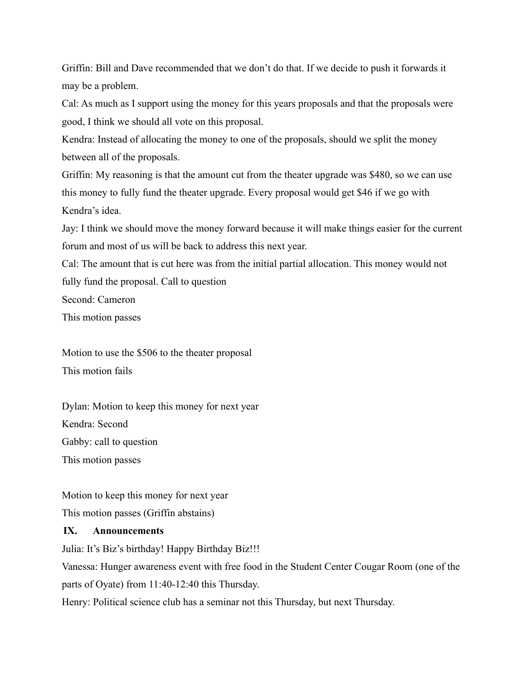Griffin: Bill and Dave recommended that we don't do that. If we decide to push it forwards it may be a problem.

Cal: As much as I support using the money for this years proposals and that the proposals were good, I think we should all vote on this proposal.

Kendra: Instead of allocating the money to one of the proposals, should we split the money between all of the proposals.

Griffin: My reasoning is that the amount cut from the theater upgrade was \$480, so we can use this money to fully fund the theater upgrade. Every proposal would get \$46 if we go with Kendra's idea.

Jay: I think we should move the money forward because it will make things easier for the current forum and most of us will be back to address this next year.

Cal: The amount that is cut here was from the initial partial allocation. This money would not fully fund the proposal. Call to question

Second: Cameron

This motion passes

Motion to use the \$506 to the theater proposal This motion fails

Dylan: Motion to keep this money for next year Kendra: Second Gabby: call to question This motion passes

Motion to keep this money for next year This motion passes (Griffin abstains)

### **IX. Announcements**

Julia: It's Biz's birthday! Happy Birthday Biz!!!

Vanessa: Hunger awareness event with free food in the Student Center Cougar Room (one of the parts of Oyate) from 11:40-12:40 this Thursday.

Henry: Political science club has a seminar not this Thursday, but next Thursday.